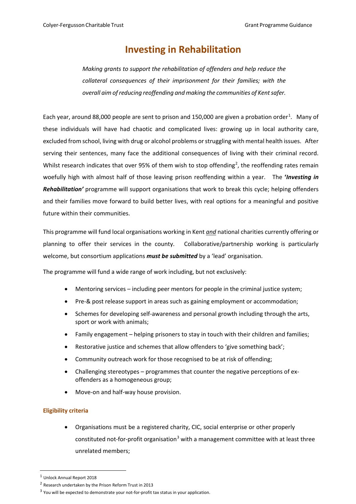# **Investing in Rehabilitation**

*Making grants to support the rehabilitation of offenders and help reduce the collateral consequences of their imprisonment for their families; with the overall aim of reducing reoffending and making the communities of Kent safer.*

Each year, around 88,000 people are sent to prison and [1](#page-0-0)50,000 are given a probation order<sup>1</sup>. Many of these individuals will have had chaotic and complicated lives: growing up in local authority care, excluded from school, living with drug or alcohol problems orstruggling with mental health issues. After serving their sentences, many face the additional consequences of living with their criminal record. Whilst research indicates that over 95% of them wish to stop offending<sup>[2](#page-0-1)</sup>, the reoffending rates remain woefully high with almost half of those leaving prison reoffending within a year. The **'***Investing in Rehabilitation'* programme will support organisations that work to break this cycle; helping offenders and their families move forward to build better lives, with real options for a meaningful and positive future within their communities.

This programme will fund local organisations working in Kent *and* national charities currently offering or planning to offer their services in the county. Collaborative/partnership working is particularly welcome, but consortium applications *must be submitted* by a 'lead' organisation.

The programme will fund a wide range of work including, but not exclusively:

- Mentoring services including peer mentors for people in the criminal justice system;
- Pre-& post release support in areas such as gaining employment or accommodation;
- Schemes for developing self-awareness and personal growth including through the arts, sport or work with animals;
- Family engagement helping prisoners to stay in touch with their children and families;
- Restorative justice and schemes that allow offenders to 'give something back';
- Community outreach work for those recognised to be at risk of offending;
- Challenging stereotypes programmes that counter the negative perceptions of exoffenders as a homogeneous group;
- Move-on and half-way house provision.

#### **Eligibility criteria**

• Organisations must be a registered charity, CIC, social enterprise or other properly constituted not-for-profit organisation<sup>[3](#page-0-2)</sup> with a management committee with at least three unrelated members;

<span id="page-0-0"></span><sup>1</sup> Unlock Annual Report 2018

<span id="page-0-1"></span><sup>2</sup> Research undertaken by the Prison Reform Trust in 2013

<span id="page-0-2"></span><sup>&</sup>lt;sup>3</sup> You will be expected to demonstrate your not-for-profit tax status in your application.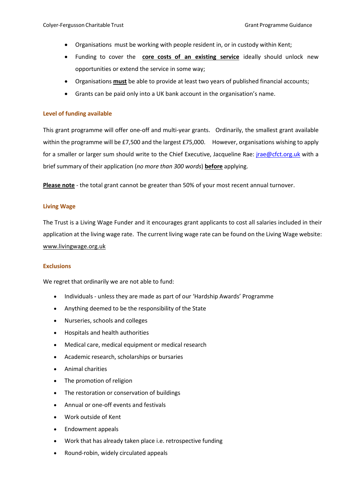- Organisations must be working with people resident in, or in custody within Kent;
- Funding to cover the **core costs of an existing service** ideally should unlock new opportunities or extend the service in some way;
- Organisations **must** be able to provide at least two years of published financial accounts;
- Grants can be paid only into a UK bank account in the organisation's name.

#### **Level of funding available**

This grant programme will offer one-off and multi-year grants. Ordinarily, the smallest grant available within the programme will be £7,500 and the largest £75,000. However, organisations wishing to apply for a smaller or larger sum should write to the Chief Executive, Jacqueline Rae: *jrae@cfct.org.uk* with a brief summary of their application (*no more than 300 words*) **before** applying.

**Please note** - the total grant cannot be greater than 50% of your most recent annual turnover.

#### **Living Wage**

The Trust is a Living Wage Funder and it encourages grant applicants to cost all salaries included in their application at the living wage rate. The current living wage rate can be found on the Living Wage website: www.livingwage.org.uk

#### **Exclusions**

We regret that ordinarily we are not able to fund:

- Individuals unless they are made as part of our 'Hardship Awards' Programme
- Anything deemed to be the responsibility of the State
- Nurseries, schools and colleges
- Hospitals and health authorities
- Medical care, medical equipment or medical research
- Academic research, scholarships or bursaries
- Animal charities
- The promotion of religion
- The restoration or conservation of buildings
- Annual or one-off events and festivals
- Work outside of Kent
- Endowment appeals
- Work that has already taken place i.e. retrospective funding
- Round-robin, widely circulated appeals